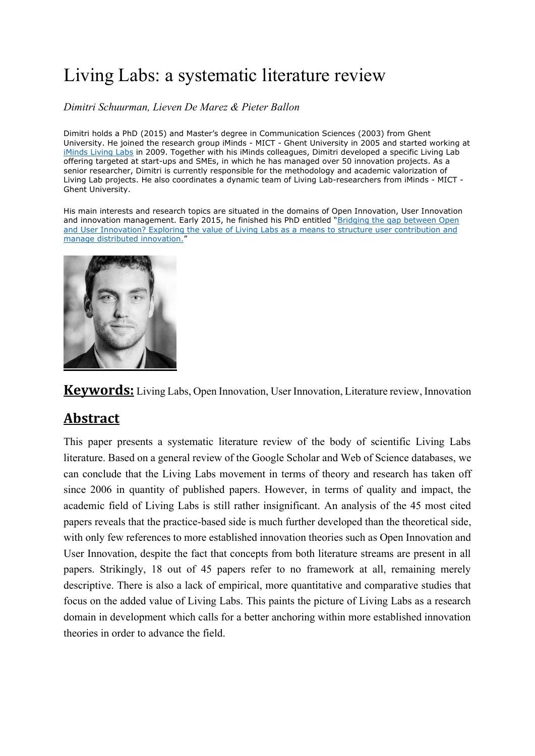# Living Labs: a systematic literature review

*Dimitri Schuurman, Lieven De Marez & Pieter Ballon*

Dimitri holds a PhD (2015) and Master's degree in Communication Sciences (2003) from Ghent University. He joined the research group iMinds - MICT - Ghent University in 2005 and started working at iMinds [Living Labs](https://www.iminds.be/en/succeed-with-digital-research/proeftuinonderzoek) in 2009. Together with his iMinds colleagues, Dimitri developed a specific Living Lab offering targeted at start-ups and SMEs, in which he has managed over 50 innovation projects. As a senior researcher, Dimitri is currently responsible for the methodology and academic valorization of Living Lab projects. He also coordinates a dynamic team of Living Lab-researchers from iMinds - MICT - Ghent University.

His main interests and research topics are situated in the domains of Open Innovation, User Innovation and innovation management. Early 2015, he finished his PhD entitled "Bridging the gap between Open [and User Innovation? Exploring the value of Living Labs as a means to structure user contribution and](http://www.slideshare.net/dschuurm/schuurman-ph-d-presentation-20150227)  [manage distributed innovation.](http://www.slideshare.net/dschuurm/schuurman-ph-d-presentation-20150227)"



**Keywords:** Living Labs, Open Innovation, User Innovation, Literature review, Innovation

## **Abstract**

This paper presents a systematic literature review of the body of scientific Living Labs literature. Based on a general review of the Google Scholar and Web of Science databases, we can conclude that the Living Labs movement in terms of theory and research has taken off since 2006 in quantity of published papers. However, in terms of quality and impact, the academic field of Living Labs is still rather insignificant. An analysis of the 45 most cited papers reveals that the practice-based side is much further developed than the theoretical side, with only few references to more established innovation theories such as Open Innovation and User Innovation, despite the fact that concepts from both literature streams are present in all papers. Strikingly, 18 out of 45 papers refer to no framework at all, remaining merely descriptive. There is also a lack of empirical, more quantitative and comparative studies that focus on the added value of Living Labs. This paints the picture of Living Labs as a research domain in development which calls for a better anchoring within more established innovation theories in order to advance the field.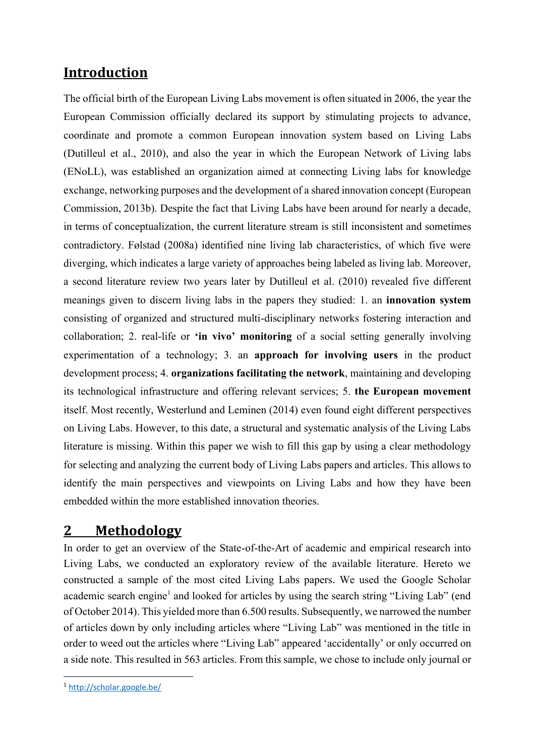## **Introduction**

The official birth of the European Living Labs movement is often situated in 2006, the year the European Commission officially declared its support by stimulating projects to advance, coordinate and promote a common European innovation system based on Living Labs (Dutilleul et al., 2010), and also the year in which the European Network of Living labs (ENoLL), was established an organization aimed at connecting Living labs for knowledge exchange, networking purposes and the development of a shared innovation concept (European Commission, 2013b). Despite the fact that Living Labs have been around for nearly a decade, in terms of conceptualization, the current literature stream is still inconsistent and sometimes contradictory. Følstad (2008a) identified nine living lab characteristics, of which five were diverging, which indicates a large variety of approaches being labeled as living lab. Moreover, a second literature review two years later by Dutilleul et al. (2010) revealed five different meanings given to discern living labs in the papers they studied: 1. an **innovation system** consisting of organized and structured multi-disciplinary networks fostering interaction and collaboration; 2. real-life or **'in vivo' monitoring** of a social setting generally involving experimentation of a technology; 3. an **approach for involving users** in the product development process; 4. **organizations facilitating the network**, maintaining and developing its technological infrastructure and offering relevant services; 5. **the European movement** itself. Most recently, Westerlund and Leminen (2014) even found eight different perspectives on Living Labs. However, to this date, a structural and systematic analysis of the Living Labs literature is missing. Within this paper we wish to fill this gap by using a clear methodology for selecting and analyzing the current body of Living Labs papers and articles. This allows to identify the main perspectives and viewpoints on Living Labs and how they have been embedded within the more established innovation theories.

## **2 Methodology**

In order to get an overview of the State-of-the-Art of academic and empirical research into Living Labs, we conducted an exploratory review of the available literature. Hereto we constructed a sample of the most cited Living Labs papers. We used the Google Scholar academic search engine<sup>1</sup> and looked for articles by using the search string "Living Lab" (end of October 2014). This yielded more than 6.500 results. Subsequently, we narrowed the number of articles down by only including articles where "Living Lab" was mentioned in the title in order to weed out the articles where "Living Lab" appeared 'accidentally' or only occurred on a side note. This resulted in 563 articles. From this sample, we chose to include only journal or

**.** 

<sup>1</sup> <http://scholar.google.be/>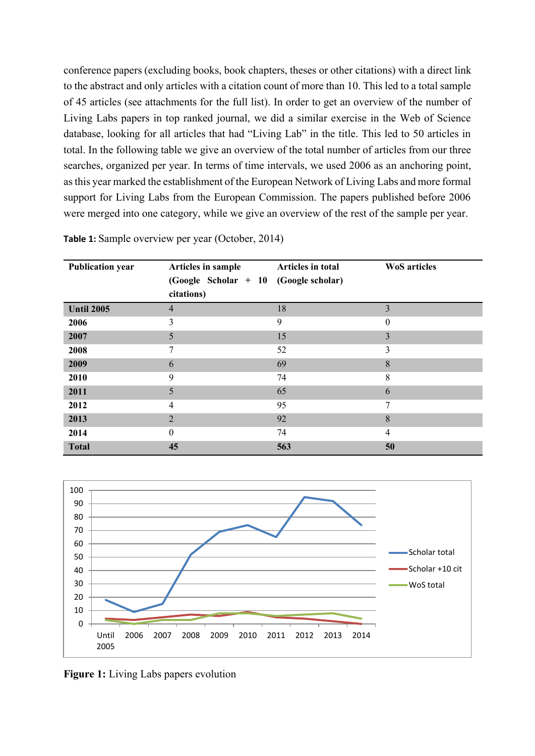conference papers (excluding books, book chapters, theses or other citations) with a direct link to the abstract and only articles with a citation count of more than 10. This led to a total sample of 45 articles (see attachments for the full list). In order to get an overview of the number of Living Labs papers in top ranked journal, we did a similar exercise in the Web of Science database, looking for all articles that had "Living Lab" in the title. This led to 50 articles in total. In the following table we give an overview of the total number of articles from our three searches, organized per year. In terms of time intervals, we used 2006 as an anchoring point, as this year marked the establishment of the European Network of Living Labs and more formal support for Living Labs from the European Commission. The papers published before 2006 were merged into one category, while we give an overview of the rest of the sample per year.

| <b>Publication year</b> | Articles in sample<br>$(Google Scholar + 10 (Google scholar)$<br>citations) | Articles in total | <b>WoS</b> articles |
|-------------------------|-----------------------------------------------------------------------------|-------------------|---------------------|
| <b>Until 2005</b>       | $\overline{4}$                                                              | 18                | 3                   |
| 2006                    | 3                                                                           | 9                 | $\theta$            |
| 2007                    | 5                                                                           | 15                | 3                   |
| 2008                    | 7                                                                           | 52                | 3                   |
| 2009                    | 6                                                                           | 69                | 8                   |
| 2010                    | 9                                                                           | 74                | 8                   |
| 2011                    | 5                                                                           | 65                | 6                   |
| 2012                    | 4                                                                           | 95                | 7                   |
| 2013                    | $\overline{2}$                                                              | 92                | 8                   |
| 2014                    | $\theta$                                                                    | 74                | $\overline{4}$      |
| <b>Total</b>            | 45                                                                          | 563               | 50                  |

**Table 1:** Sample overview per year (October, 2014)



**Figure 1:** Living Labs papers evolution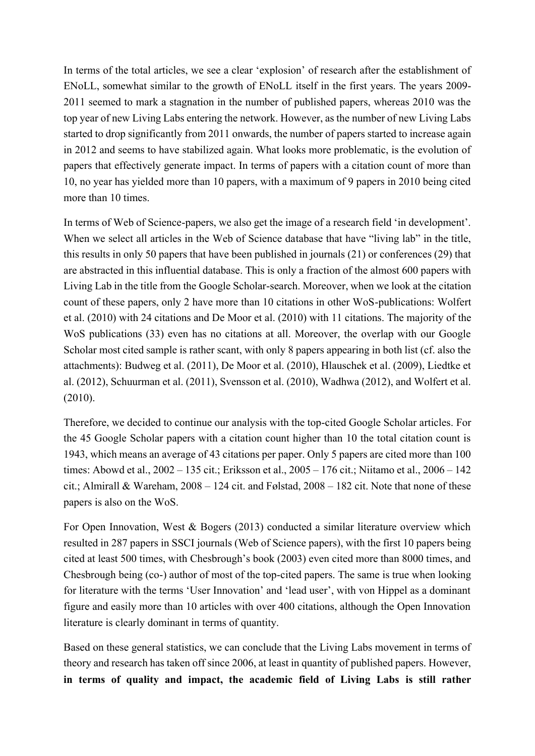In terms of the total articles, we see a clear 'explosion' of research after the establishment of ENoLL, somewhat similar to the growth of ENoLL itself in the first years. The years 2009- 2011 seemed to mark a stagnation in the number of published papers, whereas 2010 was the top year of new Living Labs entering the network. However, as the number of new Living Labs started to drop significantly from 2011 onwards, the number of papers started to increase again in 2012 and seems to have stabilized again. What looks more problematic, is the evolution of papers that effectively generate impact. In terms of papers with a citation count of more than 10, no year has yielded more than 10 papers, with a maximum of 9 papers in 2010 being cited more than 10 times.

In terms of Web of Science-papers, we also get the image of a research field 'in development'. When we select all articles in the Web of Science database that have "living lab" in the title, this results in only 50 papers that have been published in journals (21) or conferences (29) that are abstracted in this influential database. This is only a fraction of the almost 600 papers with Living Lab in the title from the Google Scholar-search. Moreover, when we look at the citation count of these papers, only 2 have more than 10 citations in other WoS-publications: Wolfert et al. (2010) with 24 citations and De Moor et al. (2010) with 11 citations. The majority of the WoS publications (33) even has no citations at all. Moreover, the overlap with our Google Scholar most cited sample is rather scant, with only 8 papers appearing in both list (cf. also the attachments): Budweg et al. (2011), De Moor et al. (2010), Hlauschek et al. (2009), Liedtke et al. (2012), Schuurman et al. (2011), Svensson et al. (2010), Wadhwa (2012), and Wolfert et al. (2010).

Therefore, we decided to continue our analysis with the top-cited Google Scholar articles. For the 45 Google Scholar papers with a citation count higher than 10 the total citation count is 1943, which means an average of 43 citations per paper. Only 5 papers are cited more than 100 times: Abowd et al., 2002 – 135 cit.; Eriksson et al., 2005 – 176 cit.; Niitamo et al., 2006 – 142 cit.; Almirall & Wareham, 2008 – 124 cit. and Følstad, 2008 – 182 cit. Note that none of these papers is also on the WoS.

For Open Innovation, West & Bogers (2013) conducted a similar literature overview which resulted in 287 papers in SSCI journals (Web of Science papers), with the first 10 papers being cited at least 500 times, with Chesbrough's book (2003) even cited more than 8000 times, and Chesbrough being (co-) author of most of the top-cited papers. The same is true when looking for literature with the terms 'User Innovation' and 'lead user', with von Hippel as a dominant figure and easily more than 10 articles with over 400 citations, although the Open Innovation literature is clearly dominant in terms of quantity.

Based on these general statistics, we can conclude that the Living Labs movement in terms of theory and research has taken off since 2006, at least in quantity of published papers. However, **in terms of quality and impact, the academic field of Living Labs is still rather**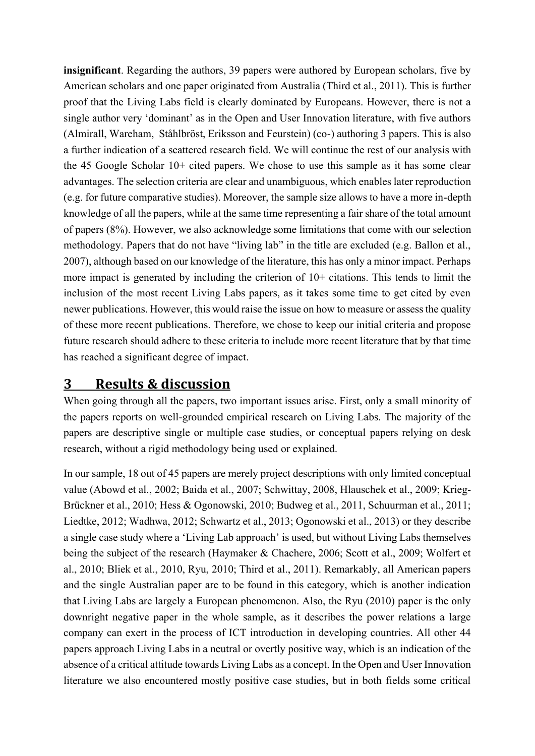**insignificant**. Regarding the authors, 39 papers were authored by European scholars, five by American scholars and one paper originated from Australia (Third et al., 2011). This is further proof that the Living Labs field is clearly dominated by Europeans. However, there is not a single author very 'dominant' as in the Open and User Innovation literature, with five authors (Almirall, Wareham, Ståhlbröst, Eriksson and Feurstein) (co-) authoring 3 papers. This is also a further indication of a scattered research field. We will continue the rest of our analysis with the 45 Google Scholar 10+ cited papers. We chose to use this sample as it has some clear advantages. The selection criteria are clear and unambiguous, which enables later reproduction (e.g. for future comparative studies). Moreover, the sample size allows to have a more in-depth knowledge of all the papers, while at the same time representing a fair share of the total amount of papers (8%). However, we also acknowledge some limitations that come with our selection methodology. Papers that do not have "living lab" in the title are excluded (e.g. Ballon et al., 2007), although based on our knowledge of the literature, this has only a minor impact. Perhaps more impact is generated by including the criterion of 10+ citations. This tends to limit the inclusion of the most recent Living Labs papers, as it takes some time to get cited by even newer publications. However, this would raise the issue on how to measure or assess the quality of these more recent publications. Therefore, we chose to keep our initial criteria and propose future research should adhere to these criteria to include more recent literature that by that time has reached a significant degree of impact.

## **3 Results & discussion**

When going through all the papers, two important issues arise. First, only a small minority of the papers reports on well-grounded empirical research on Living Labs. The majority of the papers are descriptive single or multiple case studies, or conceptual papers relying on desk research, without a rigid methodology being used or explained.

In our sample, 18 out of 45 papers are merely project descriptions with only limited conceptual value (Abowd et al., 2002; Baida et al., 2007; Schwittay, 2008, Hlauschek et al., 2009; Krieg-Brückner et al., 2010; Hess & Ogonowski, 2010; Budweg et al., 2011, Schuurman et al., 2011; Liedtke, 2012; Wadhwa, 2012; Schwartz et al., 2013; Ogonowski et al., 2013) or they describe a single case study where a 'Living Lab approach' is used, but without Living Labs themselves being the subject of the research (Haymaker & Chachere, 2006; Scott et al., 2009; Wolfert et al., 2010; Bliek et al., 2010, Ryu, 2010; Third et al., 2011). Remarkably, all American papers and the single Australian paper are to be found in this category, which is another indication that Living Labs are largely a European phenomenon. Also, the Ryu (2010) paper is the only downright negative paper in the whole sample, as it describes the power relations a large company can exert in the process of ICT introduction in developing countries. All other 44 papers approach Living Labs in a neutral or overtly positive way, which is an indication of the absence of a critical attitude towards Living Labs as a concept. In the Open and User Innovation literature we also encountered mostly positive case studies, but in both fields some critical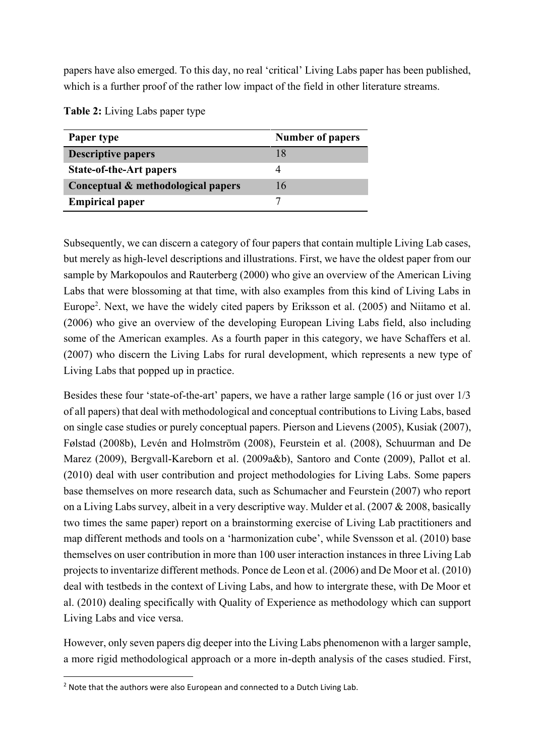papers have also emerged. To this day, no real 'critical' Living Labs paper has been published, which is a further proof of the rather low impact of the field in other literature streams.

| Paper type                         | <b>Number of papers</b> |
|------------------------------------|-------------------------|
| <b>Descriptive papers</b>          |                         |
| <b>State-of-the-Art papers</b>     |                         |
| Conceptual & methodological papers | 16                      |
| <b>Empirical paper</b>             |                         |

**Table 2:** Living Labs paper type

Subsequently, we can discern a category of four papers that contain multiple Living Lab cases, but merely as high-level descriptions and illustrations. First, we have the oldest paper from our sample by Markopoulos and Rauterberg (2000) who give an overview of the American Living Labs that were blossoming at that time, with also examples from this kind of Living Labs in Europe<sup>2</sup>. Next, we have the widely cited papers by Eriksson et al. (2005) and Niitamo et al. (2006) who give an overview of the developing European Living Labs field, also including some of the American examples. As a fourth paper in this category, we have Schaffers et al. (2007) who discern the Living Labs for rural development, which represents a new type of Living Labs that popped up in practice.

Besides these four 'state-of-the-art' papers, we have a rather large sample (16 or just over 1/3 of all papers) that deal with methodological and conceptual contributions to Living Labs, based on single case studies or purely conceptual papers. Pierson and Lievens (2005), Kusiak (2007), Følstad (2008b), Levén and Holmström (2008), Feurstein et al. (2008), Schuurman and De Marez (2009), Bergvall-Kareborn et al. (2009a&b), Santoro and Conte (2009), Pallot et al. (2010) deal with user contribution and project methodologies for Living Labs. Some papers base themselves on more research data, such as Schumacher and Feurstein (2007) who report on a Living Labs survey, albeit in a very descriptive way. Mulder et al. (2007 & 2008, basically two times the same paper) report on a brainstorming exercise of Living Lab practitioners and map different methods and tools on a 'harmonization cube', while Svensson et al. (2010) base themselves on user contribution in more than 100 user interaction instances in three Living Lab projects to inventarize different methods. Ponce de Leon et al. (2006) and De Moor et al. (2010) deal with testbeds in the context of Living Labs, and how to intergrate these, with De Moor et al. (2010) dealing specifically with Quality of Experience as methodology which can support Living Labs and vice versa.

However, only seven papers dig deeper into the Living Labs phenomenon with a larger sample, a more rigid methodological approach or a more in-depth analysis of the cases studied. First,

**.** 

<sup>&</sup>lt;sup>2</sup> Note that the authors were also European and connected to a Dutch Living Lab.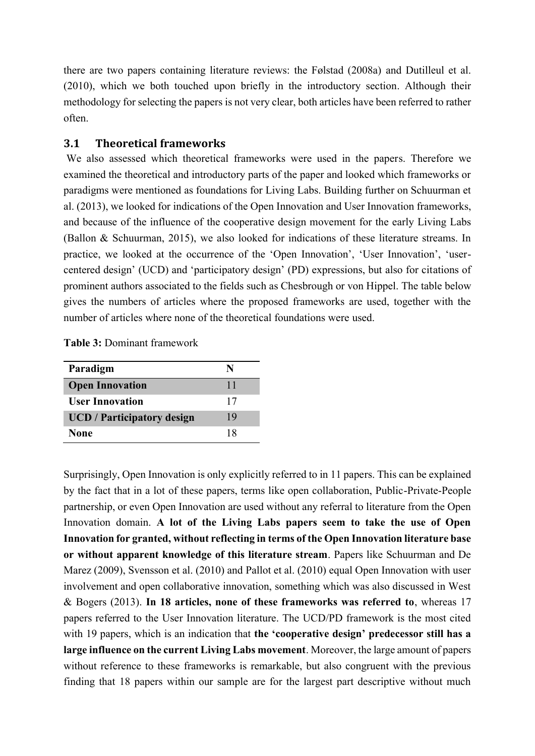there are two papers containing literature reviews: the Følstad (2008a) and Dutilleul et al. (2010), which we both touched upon briefly in the introductory section. Although their methodology for selecting the papers is not very clear, both articles have been referred to rather often.

#### **3.1 Theoretical frameworks**

We also assessed which theoretical frameworks were used in the papers. Therefore we examined the theoretical and introductory parts of the paper and looked which frameworks or paradigms were mentioned as foundations for Living Labs. Building further on Schuurman et al. (2013), we looked for indications of the Open Innovation and User Innovation frameworks, and because of the influence of the cooperative design movement for the early Living Labs (Ballon & Schuurman, 2015), we also looked for indications of these literature streams. In practice, we looked at the occurrence of the 'Open Innovation', 'User Innovation', 'usercentered design' (UCD) and 'participatory design' (PD) expressions, but also for citations of prominent authors associated to the fields such as Chesbrough or von Hippel. The table below gives the numbers of articles where the proposed frameworks are used, together with the number of articles where none of the theoretical foundations were used.

**Table 3:** Dominant framework

| Paradigm                          |    |
|-----------------------------------|----|
| <b>Open Innovation</b>            | 11 |
| <b>User Innovation</b>            | 17 |
| <b>UCD</b> / Participatory design | 19 |
| <b>None</b>                       | 18 |

Surprisingly, Open Innovation is only explicitly referred to in 11 papers. This can be explained by the fact that in a lot of these papers, terms like open collaboration, Public-Private-People partnership, or even Open Innovation are used without any referral to literature from the Open Innovation domain. **A lot of the Living Labs papers seem to take the use of Open Innovation for granted, without reflecting in terms of the Open Innovation literature base or without apparent knowledge of this literature stream**. Papers like Schuurman and De Marez (2009), Svensson et al. (2010) and Pallot et al. (2010) equal Open Innovation with user involvement and open collaborative innovation, something which was also discussed in West & Bogers (2013). **In 18 articles, none of these frameworks was referred to**, whereas 17 papers referred to the User Innovation literature. The UCD/PD framework is the most cited with 19 papers, which is an indication that **the 'cooperative design' predecessor still has a large influence on the current Living Labs movement**. Moreover, the large amount of papers without reference to these frameworks is remarkable, but also congruent with the previous finding that 18 papers within our sample are for the largest part descriptive without much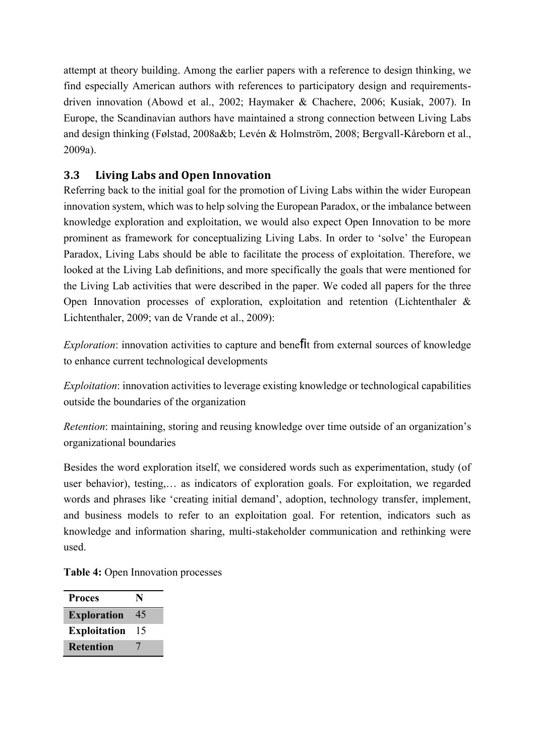attempt at theory building. Among the earlier papers with a reference to design thinking, we find especially American authors with references to participatory design and requirementsdriven innovation (Abowd et al., 2002; Haymaker & Chachere, 2006; Kusiak, 2007). In Europe, the Scandinavian authors have maintained a strong connection between Living Labs and design thinking (Følstad, 2008a&b; Levén & Holmström, 2008; Bergvall-Kåreborn et al., 2009a).

### **3.3 Living Labs and Open Innovation**

Referring back to the initial goal for the promotion of Living Labs within the wider European innovation system, which was to help solving the European Paradox, or the imbalance between knowledge exploration and exploitation, we would also expect Open Innovation to be more prominent as framework for conceptualizing Living Labs. In order to 'solve' the European Paradox, Living Labs should be able to facilitate the process of exploitation. Therefore, we looked at the Living Lab definitions, and more specifically the goals that were mentioned for the Living Lab activities that were described in the paper. We coded all papers for the three Open Innovation processes of exploration, exploitation and retention (Lichtenthaler & Lichtenthaler, 2009; van de Vrande et al., 2009):

*Exploration*: innovation activities to capture and benefit from external sources of knowledge to enhance current technological developments

*Exploitation*: innovation activities to leverage existing knowledge or technological capabilities outside the boundaries of the organization

*Retention*: maintaining, storing and reusing knowledge over time outside of an organization's organizational boundaries

Besides the word exploration itself, we considered words such as experimentation, study (of user behavior), testing,… as indicators of exploration goals. For exploitation, we regarded words and phrases like 'creating initial demand', adoption, technology transfer, implement, and business models to refer to an exploitation goal. For retention, indicators such as knowledge and information sharing, multi-stakeholder communication and rethinking were used.

**Table 4:** Open Innovation processes

| <b>Proces</b>       | N  |
|---------------------|----|
| <b>Exploration</b>  | 45 |
| <b>Exploitation</b> | 15 |
| <b>Retention</b>    |    |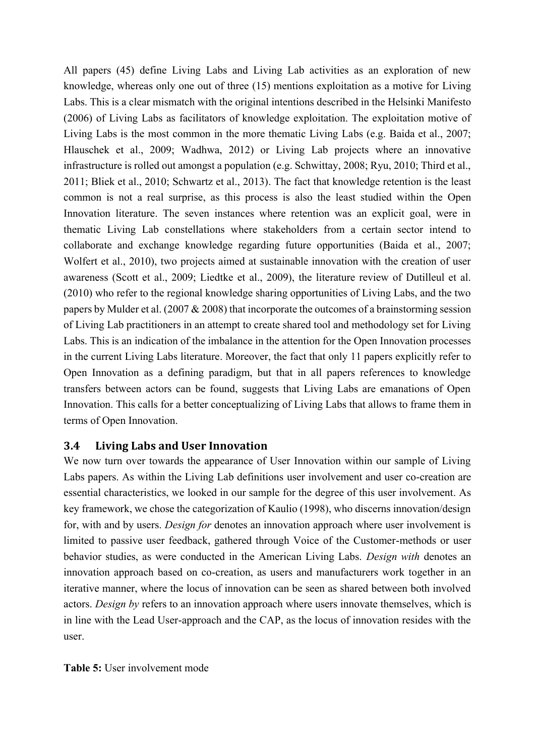All papers (45) define Living Labs and Living Lab activities as an exploration of new knowledge, whereas only one out of three (15) mentions exploitation as a motive for Living Labs. This is a clear mismatch with the original intentions described in the Helsinki Manifesto (2006) of Living Labs as facilitators of knowledge exploitation. The exploitation motive of Living Labs is the most common in the more thematic Living Labs (e.g. Baida et al., 2007; Hlauschek et al., 2009; Wadhwa, 2012) or Living Lab projects where an innovative infrastructure is rolled out amongst a population (e.g. Schwittay, 2008; Ryu, 2010; Third et al., 2011; Bliek et al., 2010; Schwartz et al., 2013). The fact that knowledge retention is the least common is not a real surprise, as this process is also the least studied within the Open Innovation literature. The seven instances where retention was an explicit goal, were in thematic Living Lab constellations where stakeholders from a certain sector intend to collaborate and exchange knowledge regarding future opportunities (Baida et al., 2007; Wolfert et al., 2010), two projects aimed at sustainable innovation with the creation of user awareness (Scott et al., 2009; Liedtke et al., 2009), the literature review of Dutilleul et al. (2010) who refer to the regional knowledge sharing opportunities of Living Labs, and the two papers by Mulder et al. (2007 & 2008) that incorporate the outcomes of a brainstorming session of Living Lab practitioners in an attempt to create shared tool and methodology set for Living Labs. This is an indication of the imbalance in the attention for the Open Innovation processes in the current Living Labs literature. Moreover, the fact that only 11 papers explicitly refer to Open Innovation as a defining paradigm, but that in all papers references to knowledge transfers between actors can be found, suggests that Living Labs are emanations of Open Innovation. This calls for a better conceptualizing of Living Labs that allows to frame them in terms of Open Innovation.

#### **3.4 Living Labs and User Innovation**

We now turn over towards the appearance of User Innovation within our sample of Living Labs papers. As within the Living Lab definitions user involvement and user co-creation are essential characteristics, we looked in our sample for the degree of this user involvement. As key framework, we chose the categorization of Kaulio (1998), who discerns innovation/design for, with and by users. *Design for* denotes an innovation approach where user involvement is limited to passive user feedback, gathered through Voice of the Customer-methods or user behavior studies, as were conducted in the American Living Labs. *Design with* denotes an innovation approach based on co-creation, as users and manufacturers work together in an iterative manner, where the locus of innovation can be seen as shared between both involved actors. *Design by* refers to an innovation approach where users innovate themselves, which is in line with the Lead User-approach and the CAP, as the locus of innovation resides with the user.

**Table 5:** User involvement mode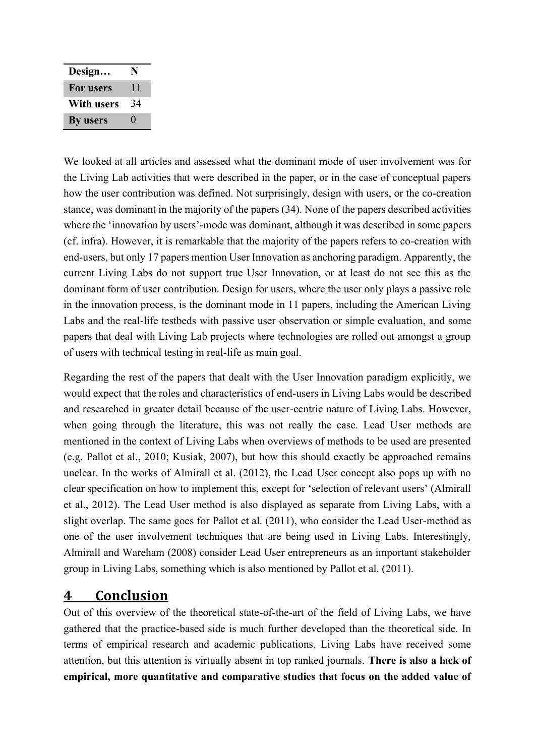| Design     | N  |
|------------|----|
| For users  | 11 |
| With users | 34 |
| By users   | 0  |

We looked at all articles and assessed what the dominant mode of user involvement was for the Living Lab activities that were described in the paper, or in the case of conceptual papers how the user contribution was defined. Not surprisingly, design with users, or the co-creation stance, was dominant in the majority of the papers (34). None of the papers described activities where the 'innovation by users'-mode was dominant, although it was described in some papers (cf. infra). However, it is remarkable that the majority of the papers refers to co-creation with end-users, but only 17 papers mention User Innovation as anchoring paradigm. Apparently, the current Living Labs do not support true User Innovation, or at least do not see this as the dominant form of user contribution. Design for users, where the user only plays a passive role in the innovation process, is the dominant mode in 11 papers, including the American Living Labs and the real-life testbeds with passive user observation or simple evaluation, and some papers that deal with Living Lab projects where technologies are rolled out amongst a group of users with technical testing in real-life as main goal.

Regarding the rest of the papers that dealt with the User Innovation paradigm explicitly, we would expect that the roles and characteristics of end-users in Living Labs would be described and researched in greater detail because of the user-centric nature of Living Labs. However, when going through the literature, this was not really the case. Lead User methods are mentioned in the context of Living Labs when overviews of methods to be used are presented (e.g. Pallot et al., 2010; Kusiak, 2007), but how this should exactly be approached remains unclear. In the works of Almirall et al. (2012), the Lead User concept also pops up with no clear specification on how to implement this, except for 'selection of relevant users' (Almirall et al., 2012). The Lead User method is also displayed as separate from Living Labs, with a slight overlap. The same goes for Pallot et al. (2011), who consider the Lead User-method as one of the user involvement techniques that are being used in Living Labs. Interestingly, Almirall and Wareham (2008) consider Lead User entrepreneurs as an important stakeholder group in Living Labs, something which is also mentioned by Pallot et al. (2011).

## **4 Conclusion**

Out of this overview of the theoretical state-of-the-art of the field of Living Labs, we have gathered that the practice-based side is much further developed than the theoretical side. In terms of empirical research and academic publications, Living Labs have received some attention, but this attention is virtually absent in top ranked journals. **There is also a lack of empirical, more quantitative and comparative studies that focus on the added value of**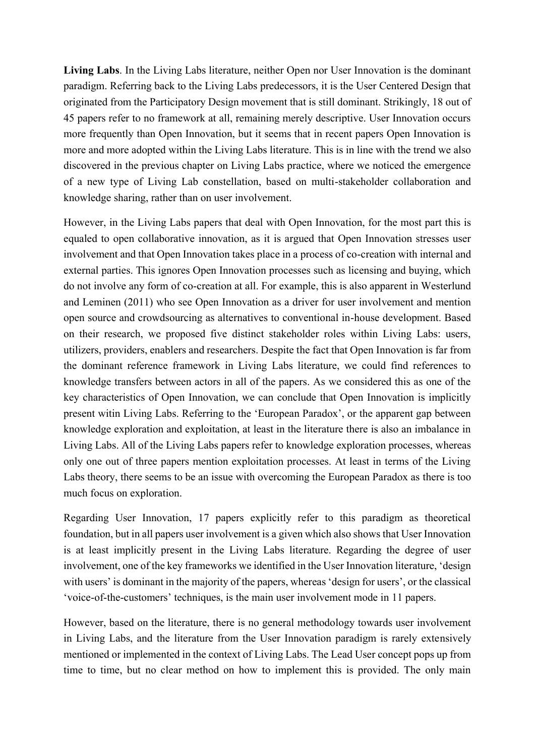**Living Labs**. In the Living Labs literature, neither Open nor User Innovation is the dominant paradigm. Referring back to the Living Labs predecessors, it is the User Centered Design that originated from the Participatory Design movement that is still dominant. Strikingly, 18 out of 45 papers refer to no framework at all, remaining merely descriptive. User Innovation occurs more frequently than Open Innovation, but it seems that in recent papers Open Innovation is more and more adopted within the Living Labs literature. This is in line with the trend we also discovered in the previous chapter on Living Labs practice, where we noticed the emergence of a new type of Living Lab constellation, based on multi-stakeholder collaboration and knowledge sharing, rather than on user involvement.

However, in the Living Labs papers that deal with Open Innovation, for the most part this is equaled to open collaborative innovation, as it is argued that Open Innovation stresses user involvement and that Open Innovation takes place in a process of co-creation with internal and external parties. This ignores Open Innovation processes such as licensing and buying, which do not involve any form of co-creation at all. For example, this is also apparent in Westerlund and Leminen (2011) who see Open Innovation as a driver for user involvement and mention open source and crowdsourcing as alternatives to conventional in-house development. Based on their research, we proposed five distinct stakeholder roles within Living Labs: users, utilizers, providers, enablers and researchers. Despite the fact that Open Innovation is far from the dominant reference framework in Living Labs literature, we could find references to knowledge transfers between actors in all of the papers. As we considered this as one of the key characteristics of Open Innovation, we can conclude that Open Innovation is implicitly present witin Living Labs. Referring to the 'European Paradox', or the apparent gap between knowledge exploration and exploitation, at least in the literature there is also an imbalance in Living Labs. All of the Living Labs papers refer to knowledge exploration processes, whereas only one out of three papers mention exploitation processes. At least in terms of the Living Labs theory, there seems to be an issue with overcoming the European Paradox as there is too much focus on exploration.

Regarding User Innovation, 17 papers explicitly refer to this paradigm as theoretical foundation, but in all papers user involvement is a given which also shows that User Innovation is at least implicitly present in the Living Labs literature. Regarding the degree of user involvement, one of the key frameworks we identified in the User Innovation literature, 'design with users' is dominant in the majority of the papers, whereas 'design for users', or the classical 'voice-of-the-customers' techniques, is the main user involvement mode in 11 papers.

However, based on the literature, there is no general methodology towards user involvement in Living Labs, and the literature from the User Innovation paradigm is rarely extensively mentioned or implemented in the context of Living Labs. The Lead User concept pops up from time to time, but no clear method on how to implement this is provided. The only main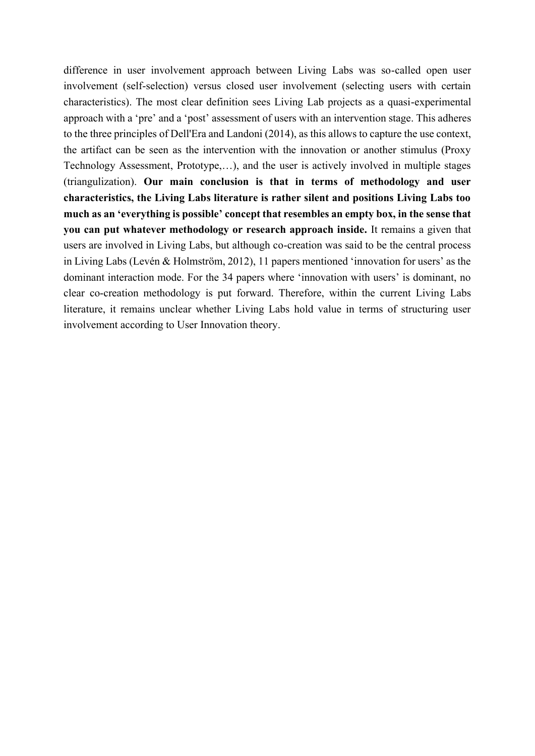difference in user involvement approach between Living Labs was so-called open user involvement (self-selection) versus closed user involvement (selecting users with certain characteristics). The most clear definition sees Living Lab projects as a quasi-experimental approach with a 'pre' and a 'post' assessment of users with an intervention stage. This adheres to the three principles of Dell'Era and Landoni (2014), as this allows to capture the use context, the artifact can be seen as the intervention with the innovation or another stimulus (Proxy Technology Assessment, Prototype,…), and the user is actively involved in multiple stages (triangulization). **Our main conclusion is that in terms of methodology and user characteristics, the Living Labs literature is rather silent and positions Living Labs too much as an 'everything is possible' concept that resembles an empty box, in the sense that you can put whatever methodology or research approach inside.** It remains a given that users are involved in Living Labs, but although co-creation was said to be the central process in Living Labs (Levén & Holmström, 2012), 11 papers mentioned 'innovation for users' as the dominant interaction mode. For the 34 papers where 'innovation with users' is dominant, no clear co-creation methodology is put forward. Therefore, within the current Living Labs literature, it remains unclear whether Living Labs hold value in terms of structuring user involvement according to User Innovation theory.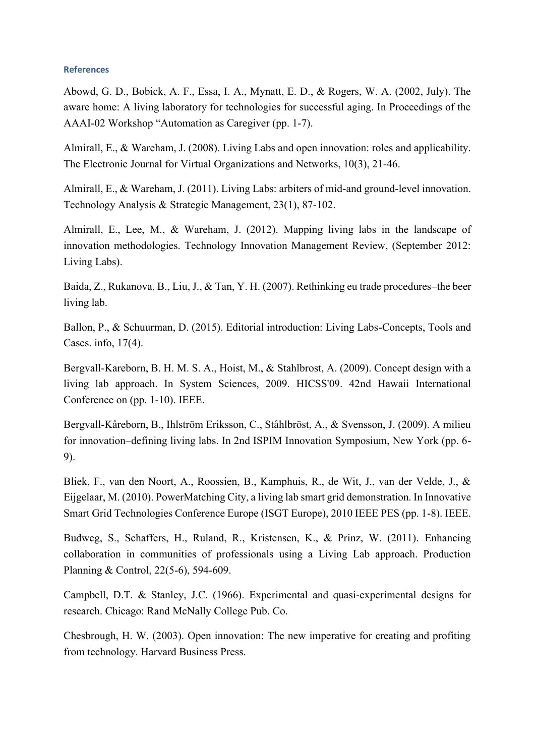#### **References**

Abowd, G. D., Bobick, A. F., Essa, I. A., Mynatt, E. D., & Rogers, W. A. (2002, July). The aware home: A living laboratory for technologies for successful aging. In Proceedings of the AAAI-02 Workshop "Automation as Caregiver (pp. 1-7).

Almirall, E., & Wareham, J. (2008). Living Labs and open innovation: roles and applicability. The Electronic Journal for Virtual Organizations and Networks, 10(3), 21-46.

Almirall, E., & Wareham, J. (2011). Living Labs: arbiters of mid-and ground-level innovation. Technology Analysis & Strategic Management, 23(1), 87-102.

Almirall, E., Lee, M., & Wareham, J. (2012). Mapping living labs in the landscape of innovation methodologies. Technology Innovation Management Review, (September 2012: Living Labs).

Baida, Z., Rukanova, B., Liu, J., & Tan, Y. H. (2007). Rethinking eu trade procedures–the beer living lab.

Ballon, P., & Schuurman, D. (2015). Editorial introduction: Living Labs-Concepts, Tools and Cases. info, 17(4).

Bergvall-Kareborn, B. H. M. S. A., Hoist, M., & Stahlbrost, A. (2009). Concept design with a living lab approach. In System Sciences, 2009. HICSS'09. 42nd Hawaii International Conference on (pp. 1-10). IEEE.

Bergvall-Kåreborn, B., Ihlström Eriksson, C., Ståhlbröst, A., & Svensson, J. (2009). A milieu for innovation–defining living labs. In 2nd ISPIM Innovation Symposium, New York (pp. 6- 9).

Bliek, F., van den Noort, A., Roossien, B., Kamphuis, R., de Wit, J., van der Velde, J., & Eijgelaar, M. (2010). PowerMatching City, a living lab smart grid demonstration. In Innovative Smart Grid Technologies Conference Europe (ISGT Europe), 2010 IEEE PES (pp. 1-8). IEEE.

Budweg, S., Schaffers, H., Ruland, R., Kristensen, K., & Prinz, W. (2011). Enhancing collaboration in communities of professionals using a Living Lab approach. Production Planning & Control, 22(5-6), 594-609.

Campbell, D.T. & Stanley, J.C. (1966). Experimental and quasi-experimental designs for research. Chicago: Rand McNally College Pub. Co.

Chesbrough, H. W. (2003). Open innovation: The new imperative for creating and profiting from technology. Harvard Business Press.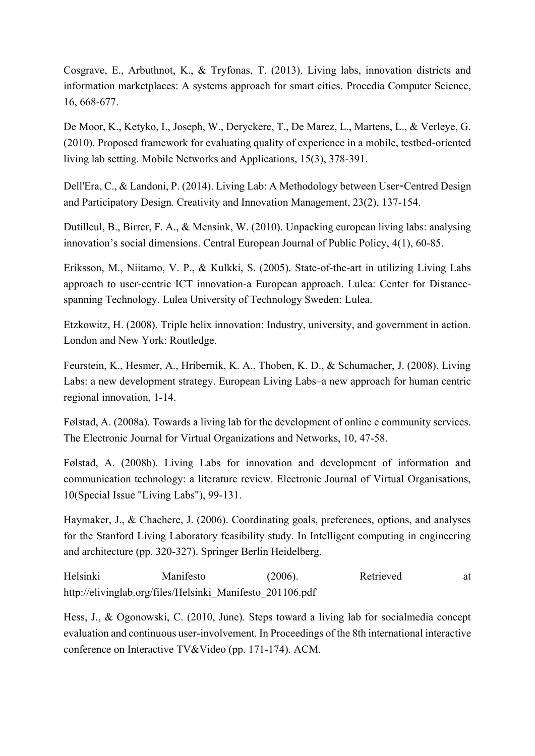Cosgrave, E., Arbuthnot, K., & Tryfonas, T. (2013). Living labs, innovation districts and information marketplaces: A systems approach for smart cities. Procedia Computer Science, 16, 668-677.

De Moor, K., Ketyko, I., Joseph, W., Deryckere, T., De Marez, L., Martens, L., & Verleye, G. (2010). Proposed framework for evaluating quality of experience in a mobile, testbed-oriented living lab setting. Mobile Networks and Applications, 15(3), 378-391.

Dell'Era, C., & Landoni, P. (2014). Living Lab: A Methodology between User-Centred Design and Participatory Design. Creativity and Innovation Management, 23(2), 137-154.

Dutilleul, B., Birrer, F. A., & Mensink, W. (2010). Unpacking european living labs: analysing innovation's social dimensions. Central European Journal of Public Policy, 4(1), 60-85.

Eriksson, M., Niitamo, V. P., & Kulkki, S. (2005). State-of-the-art in utilizing Living Labs approach to user-centric ICT innovation-a European approach. Lulea: Center for Distancespanning Technology. Lulea University of Technology Sweden: Lulea.

Etzkowitz, H. (2008). Triple helix innovation: Industry, university, and government in action. London and New York: Routledge.

Feurstein, K., Hesmer, A., Hribernik, K. A., Thoben, K. D., & Schumacher, J. (2008). Living Labs: a new development strategy. European Living Labs–a new approach for human centric regional innovation, 1-14.

Følstad, A. (2008a). Towards a living lab for the development of online e community services. The Electronic Journal for Virtual Organizations and Networks, 10, 47-58.

Følstad, A. (2008b). Living Labs for innovation and development of information and communication technology: a literature review. Electronic Journal of Virtual Organisations, 10(Special Issue "Living Labs"), 99-131.

Haymaker, J., & Chachere, J. (2006). Coordinating goals, preferences, options, and analyses for the Stanford Living Laboratory feasibility study. In Intelligent computing in engineering and architecture (pp. 320-327). Springer Berlin Heidelberg.

Helsinki Manifesto (2006). Retrieved at http://elivinglab.org/files/Helsinki\_Manifesto\_201106.pdf

Hess, J., & Ogonowski, C. (2010, June). Steps toward a living lab for socialmedia concept evaluation and continuous user-involvement. In Proceedings of the 8th international interactive conference on Interactive TV&Video (pp. 171-174). ACM.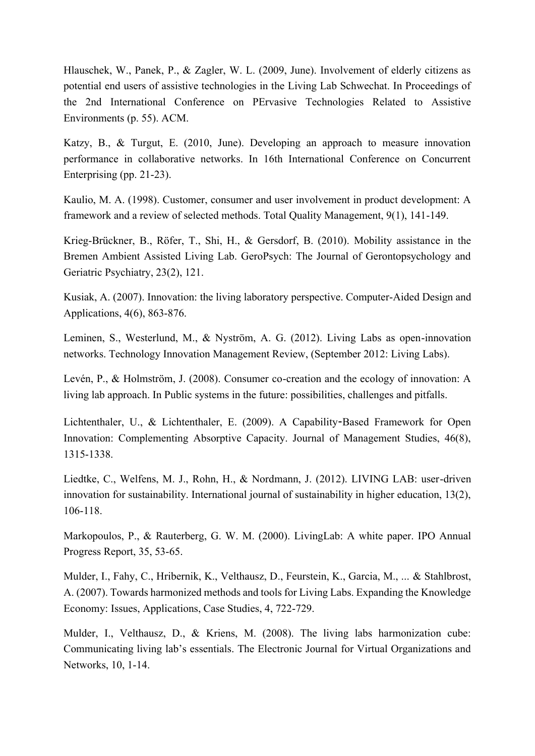Hlauschek, W., Panek, P., & Zagler, W. L. (2009, June). Involvement of elderly citizens as potential end users of assistive technologies in the Living Lab Schwechat. In Proceedings of the 2nd International Conference on PErvasive Technologies Related to Assistive Environments (p. 55). ACM.

Katzy, B., & Turgut, E. (2010, June). Developing an approach to measure innovation performance in collaborative networks. In 16th International Conference on Concurrent Enterprising (pp. 21-23).

Kaulio, M. A. (1998). Customer, consumer and user involvement in product development: A framework and a review of selected methods. Total Quality Management, 9(1), 141-149.

Krieg-Brückner, B., Röfer, T., Shi, H., & Gersdorf, B. (2010). Mobility assistance in the Bremen Ambient Assisted Living Lab. GeroPsych: The Journal of Gerontopsychology and Geriatric Psychiatry, 23(2), 121.

Kusiak, A. (2007). Innovation: the living laboratory perspective. Computer-Aided Design and Applications, 4(6), 863-876.

Leminen, S., Westerlund, M., & Nyström, A. G. (2012). Living Labs as open-innovation networks. Technology Innovation Management Review, (September 2012: Living Labs).

Levén, P., & Holmström, J. (2008). Consumer co-creation and the ecology of innovation: A living lab approach. In Public systems in the future: possibilities, challenges and pitfalls.

Lichtenthaler, U., & Lichtenthaler, E. (2009). A Capability‐Based Framework for Open Innovation: Complementing Absorptive Capacity. Journal of Management Studies, 46(8), 1315-1338.

Liedtke, C., Welfens, M. J., Rohn, H., & Nordmann, J. (2012). LIVING LAB: user-driven innovation for sustainability. International journal of sustainability in higher education, 13(2), 106-118.

Markopoulos, P., & Rauterberg, G. W. M. (2000). LivingLab: A white paper. IPO Annual Progress Report, 35, 53-65.

Mulder, I., Fahy, C., Hribernik, K., Velthausz, D., Feurstein, K., Garcia, M., ... & Stahlbrost, A. (2007). Towards harmonized methods and tools for Living Labs. Expanding the Knowledge Economy: Issues, Applications, Case Studies, 4, 722-729.

Mulder, I., Velthausz, D., & Kriens, M. (2008). The living labs harmonization cube: Communicating living lab's essentials. The Electronic Journal for Virtual Organizations and Networks, 10, 1-14.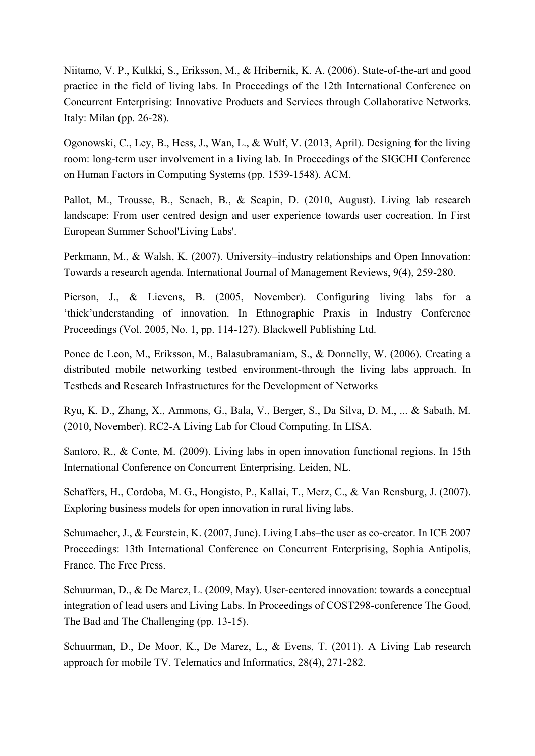Niitamo, V. P., Kulkki, S., Eriksson, M., & Hribernik, K. A. (2006). State-of-the-art and good practice in the field of living labs. In Proceedings of the 12th International Conference on Concurrent Enterprising: Innovative Products and Services through Collaborative Networks. Italy: Milan (pp. 26-28).

Ogonowski, C., Ley, B., Hess, J., Wan, L., & Wulf, V. (2013, April). Designing for the living room: long-term user involvement in a living lab. In Proceedings of the SIGCHI Conference on Human Factors in Computing Systems (pp. 1539-1548). ACM.

Pallot, M., Trousse, B., Senach, B., & Scapin, D. (2010, August). Living lab research landscape: From user centred design and user experience towards user cocreation. In First European Summer School'Living Labs'.

Perkmann, M., & Walsh, K. (2007). University–industry relationships and Open Innovation: Towards a research agenda. International Journal of Management Reviews, 9(4), 259-280.

Pierson, J., & Lievens, B. (2005, November). Configuring living labs for a 'thick'understanding of innovation. In Ethnographic Praxis in Industry Conference Proceedings (Vol. 2005, No. 1, pp. 114-127). Blackwell Publishing Ltd.

Ponce de Leon, M., Eriksson, M., Balasubramaniam, S., & Donnelly, W. (2006). Creating a distributed mobile networking testbed environment-through the living labs approach. In Testbeds and Research Infrastructures for the Development of Networks

Ryu, K. D., Zhang, X., Ammons, G., Bala, V., Berger, S., Da Silva, D. M., ... & Sabath, M. (2010, November). RC2-A Living Lab for Cloud Computing. In LISA.

Santoro, R., & Conte, M. (2009). Living labs in open innovation functional regions. In 15th International Conference on Concurrent Enterprising. Leiden, NL.

Schaffers, H., Cordoba, M. G., Hongisto, P., Kallai, T., Merz, C., & Van Rensburg, J. (2007). Exploring business models for open innovation in rural living labs.

Schumacher, J., & Feurstein, K. (2007, June). Living Labs–the user as co-creator. In ICE 2007 Proceedings: 13th International Conference on Concurrent Enterprising, Sophia Antipolis, France. The Free Press.

Schuurman, D., & De Marez, L. (2009, May). User-centered innovation: towards a conceptual integration of lead users and Living Labs. In Proceedings of COST298-conference The Good, The Bad and The Challenging (pp. 13-15).

Schuurman, D., De Moor, K., De Marez, L., & Evens, T. (2011). A Living Lab research approach for mobile TV. Telematics and Informatics, 28(4), 271-282.